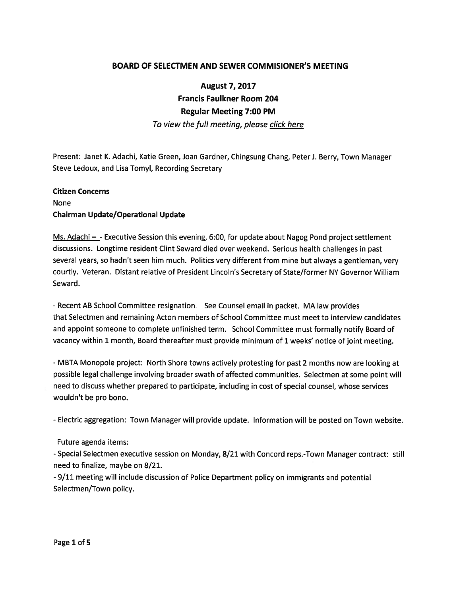## BOARD OF SELECTMEN AND SEWER COMMISIONER'S MEETING

August 7, 2017 Francis Faulkner Room 204 Regular Meeting 7:00 PM To view the full meeting, please click here

Present: Janet K. Adachi, Katie Green, Joan Gardner, Chingsung Chang, Peter J. Berry, Town Manager Steve Ledoux, and Lisa Tomyl, Recording Secretary

# Citizen Concerns None Chairman Update/Operational Update

Ms. Adachi  $-$  - Executive Session this evening, 6:00, for update about Nagog Pond project settlement discussions. Longtime resident Clint Seward died over weekend. Serious health challenges in pas<sup>t</sup> several years, so hadn't seen him much. Politics very different from mine but always <sup>a</sup> gentleman, very courtly. Veteran. Distant relative of President Lincoln's Secretary of State/former NY Governor William Seward.

-Recent AB School Committee resignation. See Counsel email in packet. MA law provides that Selectmen and remaining Acton members of School Committee must meet to interview candidates and appoint someone to complete unfinished term. School Committee must formally notify Board of vacancy within <sup>1</sup> month, Board thereafter must provide minimum of <sup>1</sup> weeks' notice of joint meeting.

- MBTA Monopole project: North Shore towns actively protesting for pas<sup>t</sup> <sup>2</sup> months now are looking at possible legal challenge involving broader swath of affected communities. Selectmen at some point will need to discuss whether prepared to participate, including in cost of special counsel, whose services wouldn't be pro bono.

- Electric aggregation: Town Manager will provide update. Information will be posted on Town website.

### Future agenda items:

-Special Selectmen executive session on Monday, 8/21 with Concord reps.-Town Manager contract: still need to finalize, maybe on 8/21.

- 9/11 meeting will include discussion of Police Department policy on immigrants and potential Selectmen/Town policy.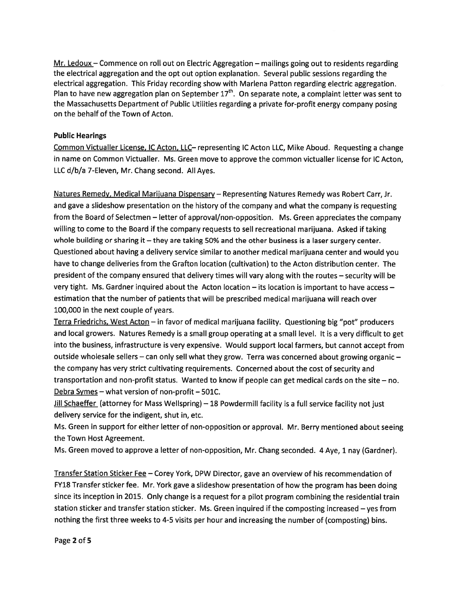Mr. Ledoux — Commence on roll out on Electric Aggregation — mailings going out to residents regarding the electrical aggregation and the op<sup>t</sup> out option explanation. Several public sessions regarding the electrical aggregation. This Friday recording show with Marlena Patton regarding electric aggregation. Plan to have new aggregation plan on September  $17<sup>th</sup>$ . On separate note, a complaint letter was sent to the Massachusetts Department of Public Utilities regarding <sup>a</sup> private for-profit energy company posing on the behalf of the Town of Acton.

#### Public Hearings

Common Victualler License, IC Acton, LLC— representing IC Acton LLC, Mike Aboud. Requesting <sup>a</sup> change in name on Common Victualler. Ms. Green move to approve the common victualler license for IC Acton, LLC d/b/a 7-Eleven, Mr. Chang second. All Ayes.

Natures Remedy, Medical Mariiuana Dispensary— Representing Natures Remedy was Robert Carr, Jr. and gave <sup>a</sup> slideshow presentation on the history of the company and what the company is requesting from the Board of Selectmen — letter of approval/non-opposition. Ms. Green appreciates the company willing to come to the Board if the company requests to sell recreational marijuana. Asked if taking whole building or sharing it — they are taking 50% and the other business is <sup>a</sup> laser surgery center. Questioned about having <sup>a</sup> delivery service similar to another medical marijuana center and would you have to change deliveries from the Grafton location (cultivation) to the Acton distribution center. The president of the company ensured that delivery times will vary along with the routes — security will be very tight. Ms. Gardner inquired about the Acton location — its location is important to have access estimation that the number of patients that will be prescribed medical marijuana will reach over 100,000 in the next couple of years.

Terra Friedrichs, West Acton - in favor of medical marijuana facility. Questioning big "pot" producers and local growers. Natures Remedy is <sup>a</sup> small group operating at <sup>a</sup> small level. It is <sup>a</sup> very difficult to ge<sup>t</sup> into the business, infrastructure is very expensive. Would suppor<sup>t</sup> local farmers, but cannot accep<sup>t</sup> from outside wholesale sellers — can only sell what they grow. Terra was concerned about growing organic the company has very strict cultivating requirements. Concerned about the cost of security and transportation and non-profit status. Wanted to know if people can ge<sup>t</sup> medical cards on the site — no. Debra Symes — what version of non-profit — 501C.

Jill Schaeffer (attorney for Mass Wellspring) - 18 Powdermill facility is a full service facility not just delivery service for the indigent, shut in, etc.

Ms. Green in suppor<sup>t</sup> for either letter of non-opposition or approval. Mr. Berry mentioned about seeing the Town Host Agreement.

Ms. Green moved to approve <sup>a</sup> letter of non-opposition, Mr. Chang seconded. <sup>4</sup> Aye, <sup>1</sup> nay (Gardner).

Transfer Station Sticker Fee — Corey York, DPW Director, gave an overview of his recommendation of FY18 Transfer sticker fee. Mr. York gave <sup>a</sup> slideshow presentation of how the program has been doing since its inception in 2015. Only change is <sup>a</sup> reques<sup>t</sup> for <sup>a</sup> <sup>p</sup>ilot program combining the residential train station sticker and transfer station sticker. Ms. Green inquired if the composting increased — yes from nothing the first three weeks to 4-5 visits per hour and increasing the number of (composting) bins.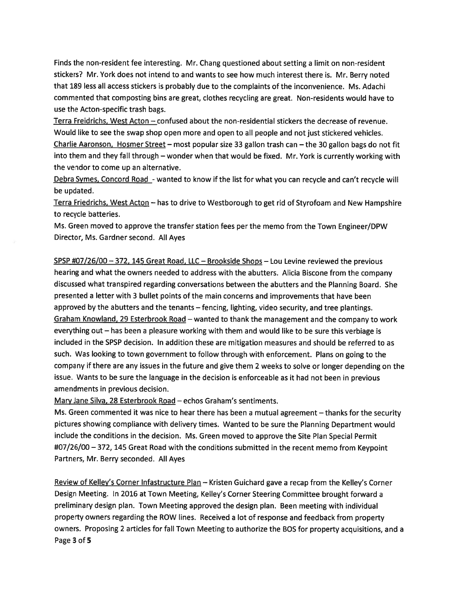Finds the non-resident fee interesting. Mr. Chang questioned about setting <sup>a</sup> limit on non-resident stickers? Mr. York does not intend to and wants to see how much interest there is. Mr. Berry noted that 189 less all access stickers is probably due to the complaints of the inconvenience. Ms. Adachi commented that composting bins are great, clothes recycling are great. Non-residents would have to use the Acton-specific trash bags.

Terra Freidrichs, West Acton — confused about the non-residential stickers the decrease of revenue. Would like to see the swap shop open more and open to all people and not just stickered vehicles. Charlie Aaronson, Hosmer Street — most popular size 33 gallon trash can — the 30 gallon bags do not fit into them and they fall through — wonder when that would be fixed. Mr. York is currently working with the vendor to come up an alternative.

Debra Symes, Concord Road - wanted to know if the list for what you can recycle and can't recycle will be updated.

Terra Friedrichs, West Acton — has to drive to Westborough to ge<sup>t</sup> rid of Styrofoam and New Hampshire to recycle batteries.

Ms. Green moved to approve the transfer station fees per the memo from the Town Engineer/DPW Director, Ms. Gardner second. All Ayes

SPSP #07/26/00 — 372, <sup>145</sup> Great Road, LLC — Brookside Shops — Lou Levine reviewed the previous hearing and what the owners needed to address with the abutters. Alicia Biscone from the company discussed what transpired regarding conversations between the abutters and the Planning Board. She presented <sup>a</sup> letter with 3 bullet points of the main concerns and improvements that have been approved by the abutters and the tenants — fencing, lighting, video security, and tree <sup>p</sup>lantings. Graham Knowland, <sup>29</sup> Esterbrook Road — wanted to thank the managemen<sup>t</sup> and the company to work everything out — has been <sup>a</sup> <sup>p</sup>leasure working with them and would like to be sure this verbiage is included in the SPSP decision. In addition these are mitigation measures and should be referred to as such. Was looking to town governmen<sup>t</sup> to follow through with enforcement. Plans on going to the company if there are any issues in the future and <sup>g</sup>ive them <sup>2</sup> weeks to solve or longer depending on the issue. Wants to be sure the language in the decision is enforceable as it had not been in previous amendments in previous decision.

Mary Jane Silva, 28 Esterbrook Road — echos Graham's sentiments.

Ms. Green commented it was nice to hear there has been <sup>a</sup> mutual agreemen<sup>t</sup> — thanks for the security <sup>p</sup>ictures showing compliance with delivery times. Wanted to be sure the Planning Department would include the conditions in the decision. Ms. Green moved to approve the Site Plan Special Permit #07/26/00 —372, <sup>145</sup> Great Road with the conditions submitted in the recent memo from Keypoint Partners, Mr. Berry seconded. All Ayes

Review of KeIley's Corner Infastructure Plan — Kristen Guichard gave <sup>a</sup> recap from the Kelley's Corner Design Meeting. In <sup>2016</sup> at Town Meeting, Kelley's Corner Steering Committee brought forward <sup>a</sup> preliminary design <sup>p</sup>lan. Town Meeting approved the design <sup>p</sup>lan. Been meeting with individual property owners regarding the ROW lines. Received <sup>a</sup> lot of response and feedback from property owners. Proposing <sup>2</sup> articles for fall Town Meeting to authorize the 305 for property acquisitions, and <sup>a</sup> Page 3 of 5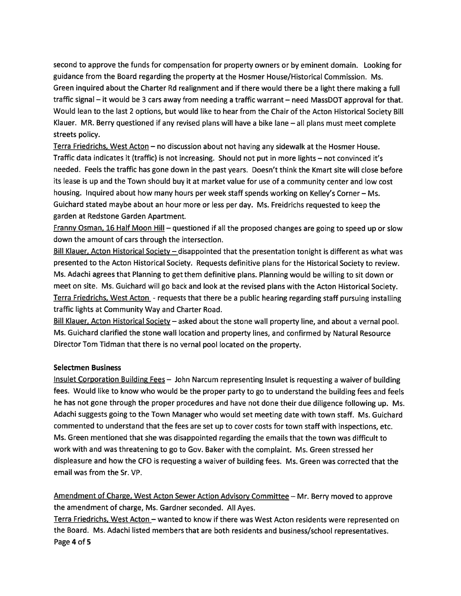second to approve the funds for compensation for property owners or by eminent domain. Looking for guidance from the Board regarding the property at the Hosmer House/Historical Commission. Ms. Green inquired about the Charter Rd realignment and if there would there be <sup>a</sup> light there making <sup>a</sup> full traffic signal — it would be 3 cars away from needing <sup>a</sup> traffic warrant — need MassDOT approval for that. Would lean to the last <sup>2</sup> options, but would like to hear from the Chair of the Acton Historical Society Bill Klauer. MR. Berry questioned if any revised <sup>p</sup>lans will have <sup>a</sup> bike lane — all <sup>p</sup>lans must meet complete streets policy.

Terra Friedrichs, West Acton — no discussion about not having any sidewalk at the Hosmer House. Traffic data indicates it (traffic) is not increasing. Should not pu<sup>t</sup> in more lights — not convinced it's needed. Feels the traffic has gone down in the pas<sup>t</sup> years. Doesn't think the Kmart site will close before its lease is up and the Town should buy it at market value for use of <sup>a</sup> community center and low cost housing. Inquired about how many hours per week staff spends working on Kelley's Corner - Ms. Guichard stated maybe about an hour more or less per day. Ms. Freidrichs requested to keep the garden at Redstone Garden Apartment.

Franny Osman, 16 Half Moon Hill - questioned if all the proposed changes are going to speed up or slow down the amount of cars through the intersection.

Bill Klauer, Acton Historical Society – disappointed that the presentation tonight is different as what was presented to the Acton Historical Society. Requests definitive <sup>p</sup>lans for the Historical Society to review. Ms. Adachi agrees that Planning to ge<sup>t</sup> them definitive <sup>p</sup>lans. Planning would be willing to sit down or meet on site. Ms. Guichard will go back and look at the revised <sup>p</sup>lans with the Acton Historical Society. Terra Friedrichs, West Acton - requests that there be <sup>a</sup> public hearing regarding staff pursuing installing traffic lights at Community Way and Charter Road.

Bill Klauer, Acton Historical Society – asked about the stone wall property line, and about a vernal pool. Ms. Guichard clarified the stone wall location and property lines, and confirmed by Natural Resource Director Tom Tidman that there is no vernal pool located on the property.

#### Selectmen Business

Insulet Corporation Building Fees — John Narcum representing Insulet is requesting <sup>a</sup> waiver of building fees. Would like to know who would be the proper party to go to understand the building fees and feels he has not gone through the proper procedures and have not done their due diligence following up. Ms. Adachi suggests going to the Town Manager who would set meeting date with town staff. Ms. Guichard commented to understand that the fees are set up to cover costs for town staff with inspections, etc. Ms. Green mentioned that she was disappointed regarding the emails that the town was difficult to work with and was threatening to go to Gov. Baker with the complaint. Ms. Green stressed her displeasure and how the CFO is requesting <sup>a</sup> waiver of building fees. Ms. Green was corrected that the email was from the Sr. VP.

Amendment of Charge, West Acton Sewer Action Advisory Committee - Mr. Berry moved to approve the amendment of charge, Ms. Gardner seconded. All Ayes.

Terra Friedrichs, West Acton – wanted to know if there was West Acton residents were represented on the Board. Ms. Adachi listed members that are both residents and business/school representatives. Page 4 of 5